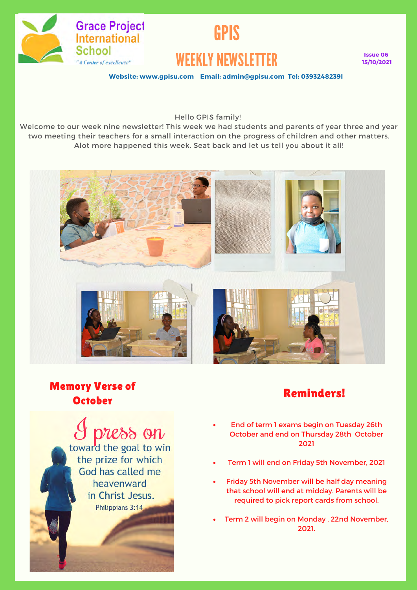

# GPIS WEEKLY NEWSLETTER

**Issue 06 15/10/2021**

**Website: www.gpisu.com Email: admin@gpisu.com Tel: 0393248239l**

Hello GPIS family!

Welcome to our week nine newsletter! This week we had students and parents of year three and year two meeting their teachers for a small interaction on the progress of children and other matters. Alot more happened this week. Seat back and let us tell you about it all!



## Memory Verse of ory verse of the contract of the Reminders!<br>October

press on toward the goal to win the prize for which God has called me heavenward in Christ Jesus. Philippians 3:14

- End of term 1 exams begin on Tuesday 26th October and end on Thursday 28th October 2021
- Term 1 will end on Friday 5th November, 2021
- Friday 5th November will be half day meaning that school will end at midday. Parents will be required to pick report cards from school.
- Term 2 will begin on Monday , 22nd November, 2021.